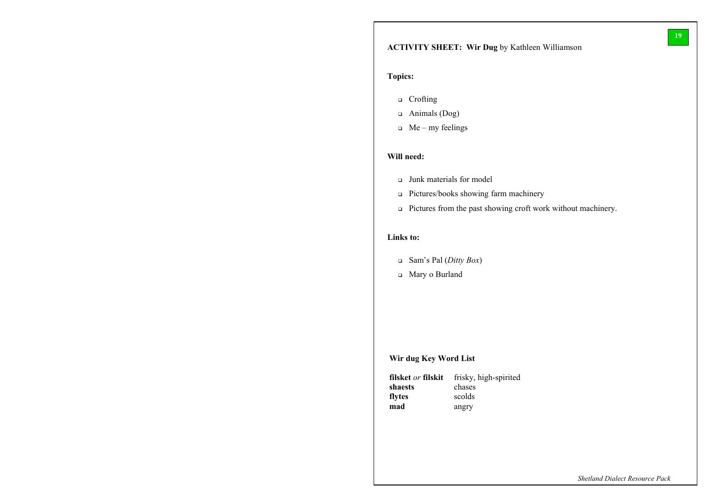*Shetland Dialect Resource Pack*

- <sup>q</sup> Crofting
- <sup>q</sup> Animals (Dog)
- $\Box$  Me my feelings

# **ACTIVITY SHEET: Wir Dug** by Kathleen Williamson

## **Topics:**

## **Will need:**

- <sup>q</sup> Junk materials for model
- <sup>q</sup> Pictures/books showing farm machinery
- <sup>q</sup> Pictures from the past showing croft work without machinery.

## **Links to:**

- <sup>q</sup> Sam's Pal (*Ditty Box*)
- <sup>q</sup> Mary o Burland

## **Wir dug Key Word List**

| filsket <i>or</i> filskit | frisky, high-spirited |
|---------------------------|-----------------------|
| shaests                   | chases                |
| flytes                    | scolds                |
| mad                       | angry                 |

**19**